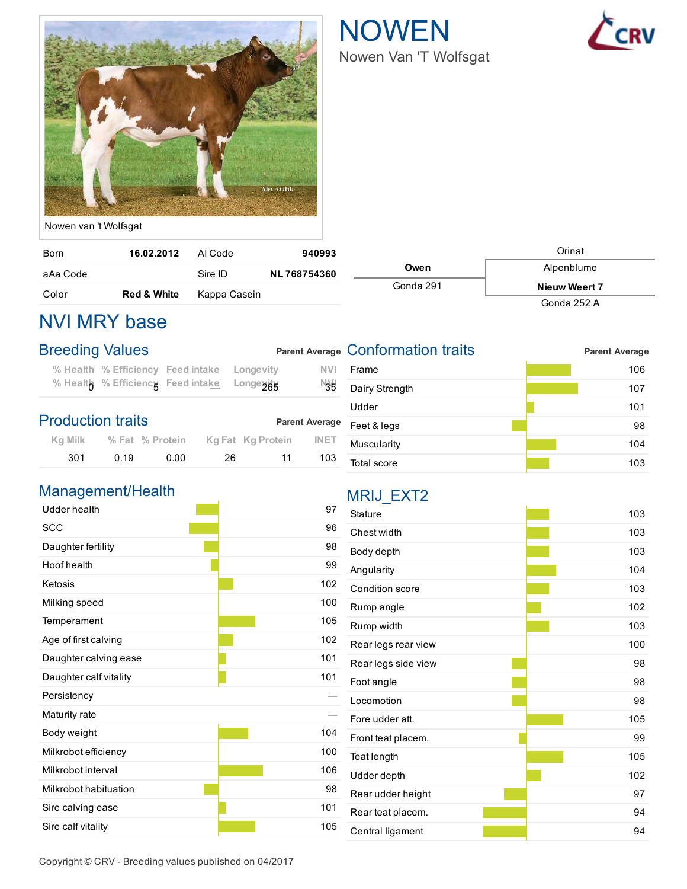

# NOWEN Nowen Van 'T Wolfsgat



Nowen van 't Wolfsgat

| Born     | 16.02.2012             | Al Code      | 940993              |           | Orinat               |
|----------|------------------------|--------------|---------------------|-----------|----------------------|
| aAa Code |                        | Sire ID      | <b>NL 768754360</b> | Owen      | Alpenblume           |
| Color    | <b>Red &amp; White</b> | Kappa Casein |                     | Gonda 291 | <b>Nieuw Weert 7</b> |
|          |                        |              |                     |           | Gonda 252 A          |

# NVI MRY base

| <b>Breeding Values</b>   |                                   |                   |                       | <b>Parent Average Conformation traits</b> |  | <b>Parent Average</b> |  |
|--------------------------|-----------------------------------|-------------------|-----------------------|-------------------------------------------|--|-----------------------|--|
|                          | % Health % Efficiency Feed intake | Longevity         | NVI                   | Frame                                     |  | 106                   |  |
|                          | % Health % Efficiency Feed intake | Longeyax          | Ŋ∯                    | Dairy Strength                            |  | 107                   |  |
|                          |                                   |                   |                       | Udder                                     |  | 101                   |  |
| <b>Production traits</b> |                                   |                   | <b>Parent Average</b> | Feet & legs                               |  | 98                    |  |
| Ka Milk                  | % Fat % Protein                   | Kg Fat Kg Protein | <b>INET</b>           | Muscularity                               |  | 104                   |  |

#### Management/Health

| managomong noann<br><b>Udder health</b> | 97  |
|-----------------------------------------|-----|
| <b>SCC</b>                              | 96  |
| Daughter fertility                      | 98  |
| Hoof health                             | 99  |
| Ketosis                                 | 102 |
| Milking speed                           | 100 |
| Temperament                             | 105 |
| Age of first calving                    | 102 |
| Daughter calving ease                   | 101 |
| Daughter calf vitality                  | 101 |
| Persistency                             |     |
| Maturity rate                           |     |
| Body weight                             | 104 |
| Milkrobot efficiency                    | 100 |
| Milkrobot interval                      | 106 |
| Milkrobot habituation                   | 98  |
| Sire calving ease                       | 101 |
| Sire calf vitality                      | 105 |

301 0.19 0.00 26 11 103

## MRIJ\_EXT2

| Stature             | 103 |
|---------------------|-----|
| Chest width         | 103 |
| Body depth          | 103 |
| Angularity          | 104 |
| Condition score     | 103 |
| Rump angle          | 102 |
| Rump width          | 103 |
| Rear legs rear view | 100 |
| Rear legs side view | 98  |
| Foot angle          | 98  |
| Locomotion          | 98  |
| Fore udder att.     | 105 |
| Front teat placem.  | 99  |
| Teat length         | 105 |
| Udder depth         | 102 |
| Rear udder height   | 97  |
| Rear teat placem.   | 94  |
| Central ligament    | 94  |
|                     |     |

Total score 103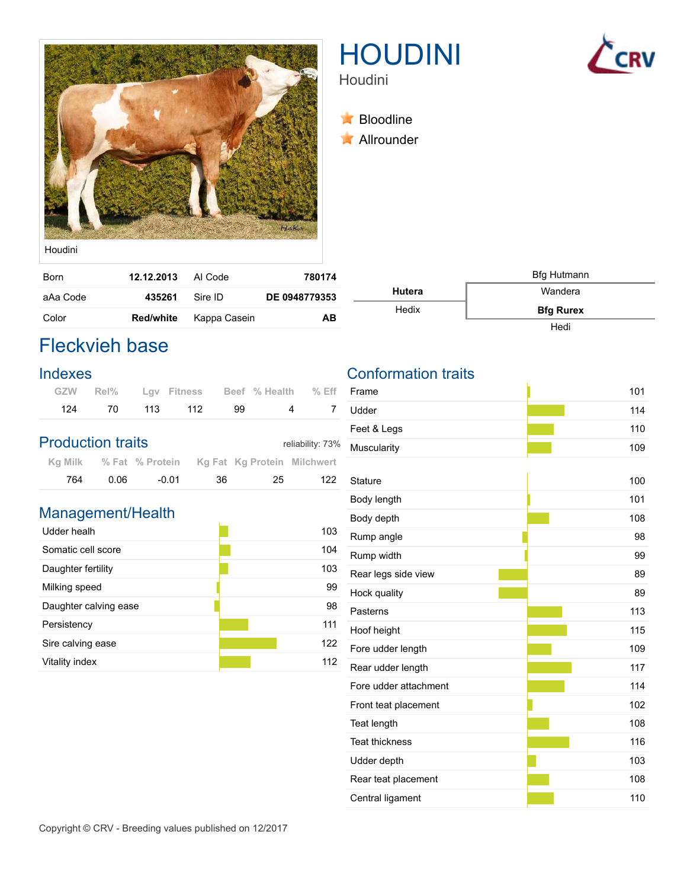





Houdini

**Bloodline** 

**Allrounder** 

Houdini

| <b>Born</b> | 12.12.2013       | Al Code      | 780174        |
|-------------|------------------|--------------|---------------|
| aAa Code    | $435261$ Sire ID |              | DE 0948779353 |
| Color       | <b>Red/white</b> | Kappa Casein | AВ            |



### Fleckvieh base

#### Indexes

|     |     |     |     |      | GZW Rel% Lgv Fitness Beef % Health % Eff |                |
|-----|-----|-----|-----|------|------------------------------------------|----------------|
| 124 | 70. | 113 | 112 | - 99 |                                          | $\overline{7}$ |

#### Production traits

|     | % Fat % Protein Kg Fat Kg Protein Milchwert |     |       |      | Kg Milk |
|-----|---------------------------------------------|-----|-------|------|---------|
| 122 | 25                                          | 36. | -0.01 | 0.06 | 764     |

#### Management/Health

| Udder healh           | 103 |
|-----------------------|-----|
| Somatic cell score    | 104 |
| Daughter fertility    | 103 |
| Milking speed         | 99  |
| Daughter calving ease | 98  |
| Persistency           | 111 |
| Sire calving ease     | 122 |
| Vitality index        | 112 |

#### Conformation traits

reliability: 73%

| Frame                 | 101 |  |
|-----------------------|-----|--|
| Udder                 | 114 |  |
| Feet & Legs           | 110 |  |
| Muscularity           | 109 |  |
|                       |     |  |
| <b>Stature</b>        | 100 |  |
| Body length           | 101 |  |
| Body depth            | 108 |  |
| Rump angle            | 98  |  |
| Rump width            | 99  |  |
| Rear legs side view   | 89  |  |
| Hock quality          | 89  |  |
| Pasterns              | 113 |  |
| Hoof height           | 115 |  |
| Fore udder length     | 109 |  |
| Rear udder length     | 117 |  |
| Fore udder attachment | 114 |  |
| Front teat placement  | 102 |  |
| Teat length           | 108 |  |
| <b>Teat thickness</b> | 116 |  |
| Udder depth           | 103 |  |
| Rear teat placement   | 108 |  |
| Central ligament      | 110 |  |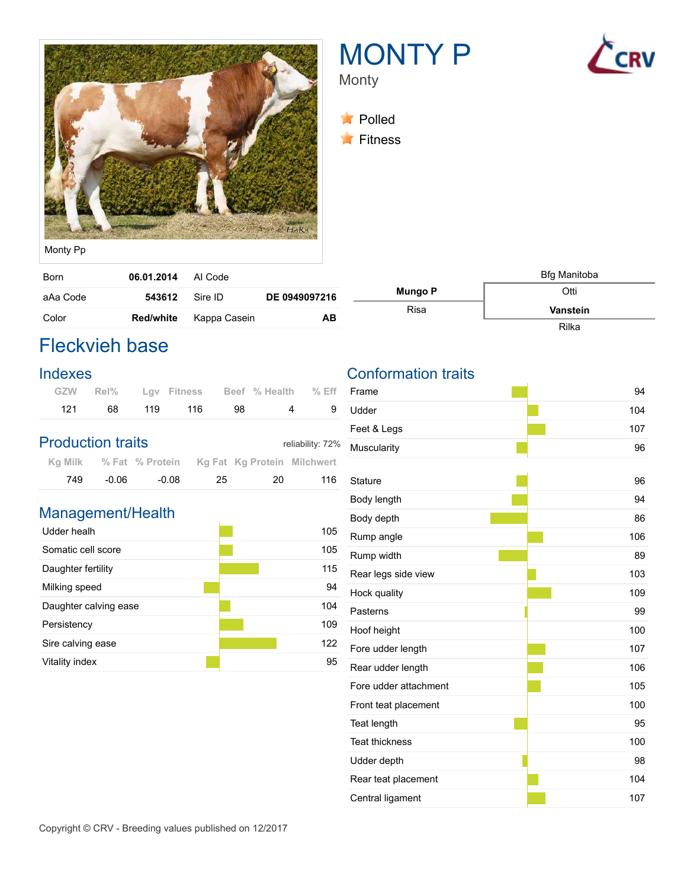

# MONTY P



Bfg Manitoba

Rilka

Monty

**A** Polled **Fitness** 

Monty Pp

| Born     | 06.01.2014 Al Code |              |               |
|----------|--------------------|--------------|---------------|
| aAa Code | $543612$ Sire ID   |              | DE 0949097216 |
| Color    | <b>Red/white</b>   | Kappa Casein | AВ            |

## Fleckvieh base

#### Indexes

|     |     |     |     |     | GZW Rel% Lgv Fitness Beef % Health % Eff |     |
|-----|-----|-----|-----|-----|------------------------------------------|-----|
| 121 | 68. | 119 | 116 | 98. |                                          | - 9 |

#### Production traits

|     | % Fat % Protein Kg Fat Kg Protein Milchwert |    |       |       | Kg Milk |
|-----|---------------------------------------------|----|-------|-------|---------|
| 116 | 20                                          | 25 | -0.08 | -0.06 | 749.    |

#### Management/Health

| Udder healh           | 105 |
|-----------------------|-----|
| Somatic cell score    | 105 |
| Daughter fertility    | 115 |
| Milking speed         | 94  |
| Daughter calving ease | 104 |
| Persistency           | 109 |
| Sire calving ease     | 122 |
| Vitality index        | 95  |

#### Conformation traits

reliability: 72%

| Frame                 | 94  |
|-----------------------|-----|
| Udder                 | 104 |
| Feet & Legs           | 107 |
| Muscularity           | 96  |
|                       |     |
| <b>Stature</b>        | 96  |
| Body length           | 94  |
| Body depth            | 86  |
| Rump angle            | 106 |
| Rump width            | 89  |
| Rear legs side view   | 103 |
| Hock quality          | 109 |
| Pasterns              | 99  |
| Hoof height           | 100 |
| Fore udder length     | 107 |
| Rear udder length     | 106 |
| Fore udder attachment | 105 |
| Front teat placement  | 100 |
| Teat length           | 95  |
| <b>Teat thickness</b> | 100 |
| Udder depth           | 98  |
| Rear teat placement   | 104 |
| Central ligament      | 107 |

Mungo P Otti Risa **Democratic Vanstein**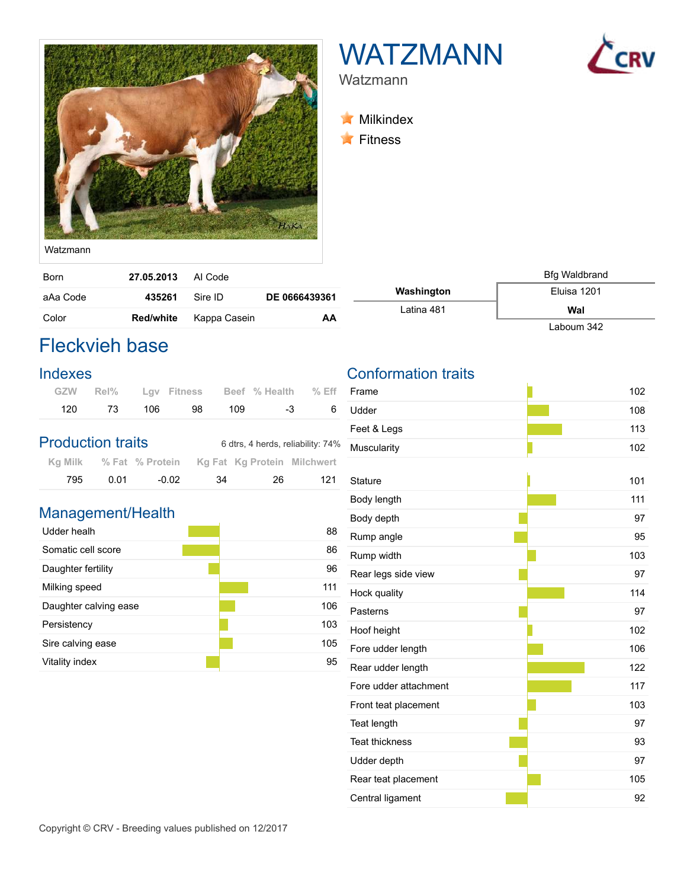

# WATZMANN



Watzmann

**Milkindex** 

**Fitness** 

Watzmann

| <b>Born</b> | 27.05.2013 Al Code |                               |               |
|-------------|--------------------|-------------------------------|---------------|
| aAa Code    | $435261$ Sire ID   |                               | DE 0666439361 |
| Color       |                    | <b>Red/white</b> Kappa Casein | АΑ            |

## Fleckvieh base

#### Indexes

|     |         |        | GZW Rel% Lqv Fitness Beef % Health % Eff |     |
|-----|---------|--------|------------------------------------------|-----|
| 120 | 73  106 | 98 109 | $-3$                                     | 6 R |

|         | <b>Production traits</b> |                                             |    | 6 dtrs, 4 herds, reliability: 74% |     |  |
|---------|--------------------------|---------------------------------------------|----|-----------------------------------|-----|--|
| Ka Milk |                          | % Fat % Protein Kg Fat Kg Protein Milchwert |    |                                   |     |  |
| 795     | 0.01                     | $-0.02$                                     | 34 | 26.                               | 121 |  |

#### Management/Health

| Udder healh           | 88  |
|-----------------------|-----|
| Somatic cell score    | 86  |
| Daughter fertility    | 96  |
| Milking speed         | 111 |
| Daughter calving ease | 106 |
| Persistency           | 103 |
| Sire calving ease     | 105 |
| Vitality index        | 95  |

#### Conformation traits

| Frame                 | 102 |
|-----------------------|-----|
| Udder                 | 108 |
| Feet & Legs           | 113 |
| Muscularity           | 102 |
| <b>Stature</b>        | 101 |
|                       |     |
| Body length           | 111 |
| Body depth            | 97  |
| Rump angle            | 95  |
| Rump width            | 103 |
| Rear legs side view   | 97  |
| Hock quality          | 114 |
| Pasterns              | 97  |
| Hoof height           | 102 |
| Fore udder length     | 106 |
| Rear udder length     | 122 |
| Fore udder attachment | 117 |
| Front teat placement  | 103 |
| Teat length           | 97  |
| <b>Teat thickness</b> | 93  |
| Udder depth           | 97  |
| Rear teat placement   | 105 |
| Central ligament      | 92  |

|            | <b>Bfg Waldbrand</b> |
|------------|----------------------|
| Washington | Eluisa 1201          |
| Latina 481 | Wal                  |
|            | Laboum 342           |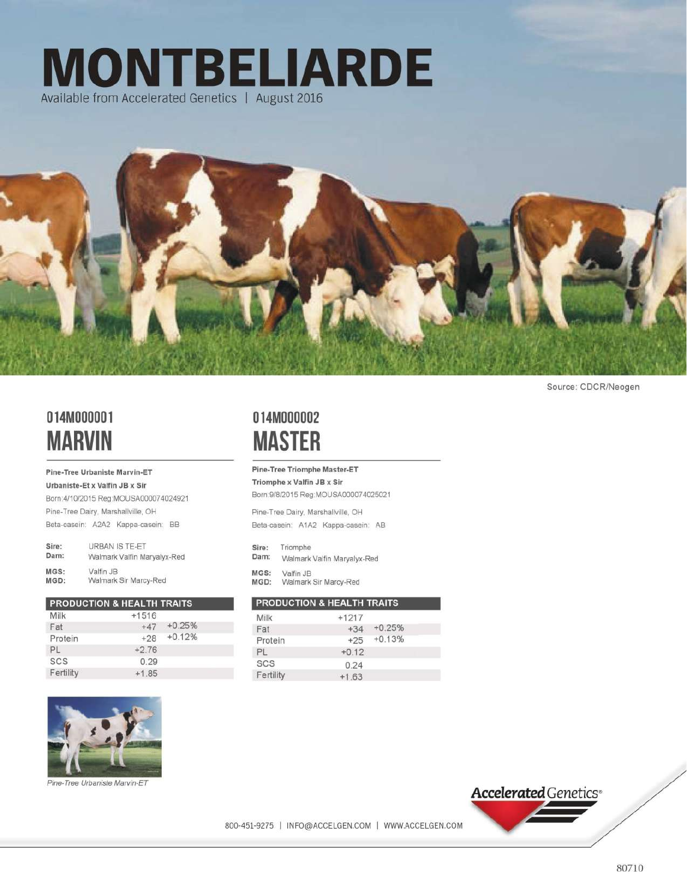# **MONTBELIARDE** Available from Accelerated Genetics | August 2016



# 014M000001 **MARVIN**

Pine-Tree Urbaniste Marvin-ET Urbaniste-Et x Valfin JB x Sir

Born:4/10/2015 Reg:MOUSA000074024921 Pine-Tree Dairy, Marshallville, OH Beta-casein: A2A2 Kappa-casein: BB

| Sire: | URBAN IS TE-ET              |
|-------|-----------------------------|
| Dam:  | Walmark Valfin Maryalyx-Red |
| MGS:  | Valfin JB                   |
| MGD:  | Walmark Sir Marcy-Red       |

| <b>PRODUCTION &amp; HEALTH TRAITS</b> |         |          |  |
|---------------------------------------|---------|----------|--|
| Milk                                  | $+1516$ |          |  |
| Fat                                   | $+47$   | $+0.25%$ |  |
| Protein                               | $+28$   | $+0.12%$ |  |
| 이                                     | $+2.76$ |          |  |
| SCS                                   | 0.29    |          |  |
| Fertility                             | $+1.85$ |          |  |



Pine-Tree Urbaniste Marvin-ET

# 014M000002 **MASTER**

Pine-Tree Triomphe Master-ET Triomphe x Valfin JB x Sir Born:9/8/2015 Reg:MOUSA000074025021

Pine-Tree Dairy, Marshallville, OH

Beta-casein: A1A2 Kappa-casein: AB

| Triomphe                    |
|-----------------------------|
| Walmark Valfin Maryalyx-Red |
| Valfin JB                   |
| Walmark Sir Marcy-Red       |
|                             |

| <b>PRODUCTION &amp; HEALTH TRAITS</b> |         |          |  |
|---------------------------------------|---------|----------|--|
| Milk                                  | $+1217$ |          |  |
| Fat                                   | $+34$   | $+0.25%$ |  |
| Protein                               | $+25$   | $+0.13%$ |  |
| PL                                    | $+0.12$ |          |  |
| SCS                                   | 0.24    |          |  |
| Fertility                             | $+1.63$ |          |  |



800-451-9275 | INFO@ACCELGEN.COM | WWW.ACCELGEN.COM

Source: CDCR/Neogen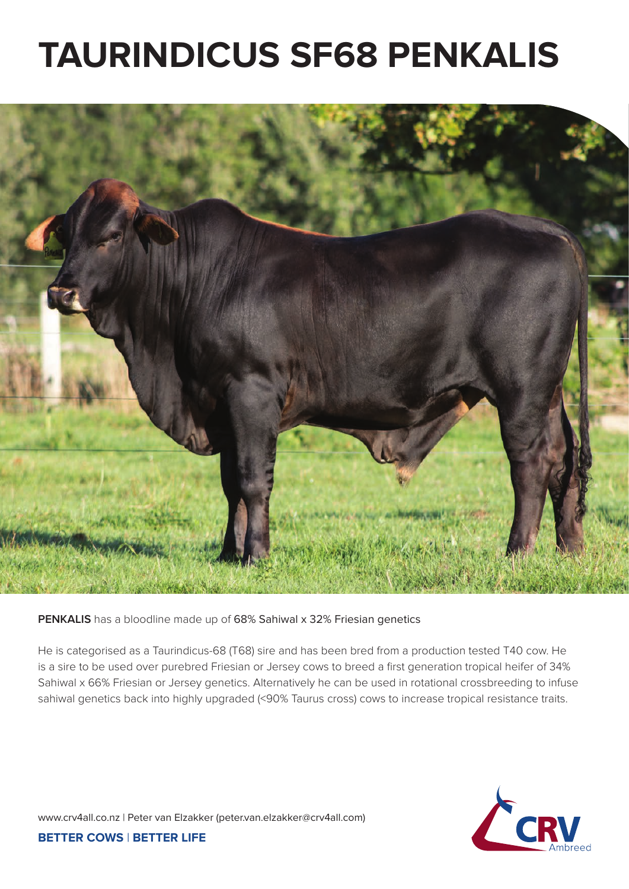# **TAURINDICUS SF68 PENKALIS**



**PENKALIS** has a bloodline made up of 68% Sahiwal x 32% Friesian genetics

He is categorised as a Taurindicus-68 (T68) sire and has been bred from a production tested T40 cow. He is a sire to be used over purebred Friesian or Jersey cows to breed a first generation tropical heifer of 34% Sahiwal x 66% Friesian or Jersey genetics. Alternatively he can be used in rotational crossbreeding to infuse sahiwal genetics back into highly upgraded (<90% Taurus cross) cows to increase tropical resistance traits.



www.crv4all.co.nz | Peter van Elzakker (peter.van.elzakker@crv4all.com)

**BETTER COWS** | **BETTER LIFE**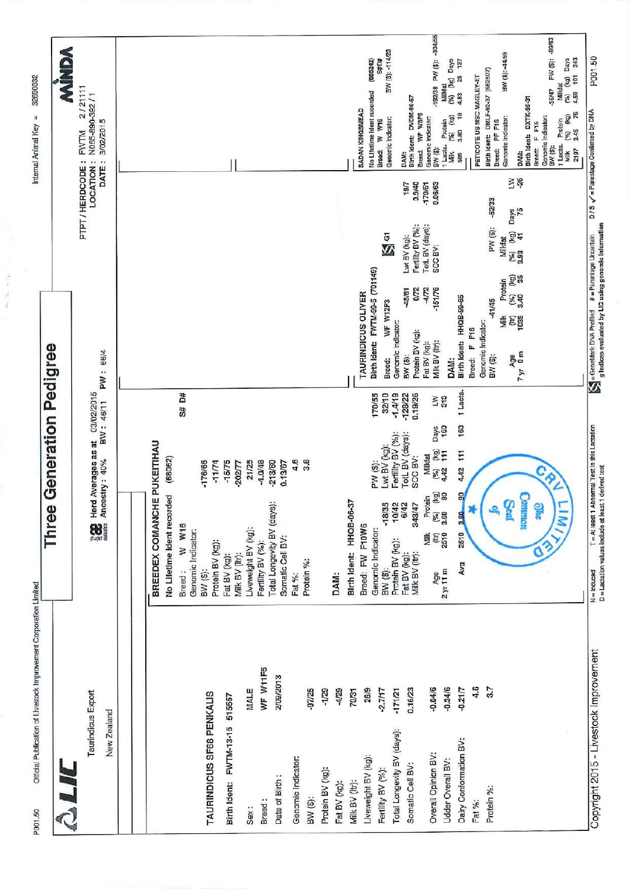| WF W11F5<br>2/09/2013<br>MALE<br>26/9<br>-97/25<br>$-1/29$<br>$-4/29$<br>70/31<br><b>Taurindicus</b> Export<br>TAURINDICUS SF68 PENKALIS<br>Birth Ident: FWTM-13-15 515557<br>New Zealand<br>Liveweight BV (kg):<br>Genomic Indicator:<br>Protein BV (kg):<br>Date of Birth:<br>Fat BV (kg):<br>Milk BV (ltr):<br>BW (\$):<br>Breed:<br>Sex: | BW: 46/11<br>Herd Averages as at<br>BREEDEX COMANCHE PUKEITIHAU<br>(68062)<br>Ancestry: 40%<br>4.6<br>3.6<br>$-15/75$<br>$-4.0/48$<br>-213/60<br>-176/66<br>$-11/74$<br>21/25<br>0.13/67<br>$-202/77$<br>No Lifetime Ident recorded<br>Total Longevity BV (days):<br>es and a series of the content of the content of the content of the content of the content of the content of the content of the content of the content of the content of the content of the content of the content of the cont<br>W W16<br>Liveweight BV (kg):<br>Genomic Indicator:<br>Somatic Cell BV:<br>Protein BV (kg):<br>Fertility BV (%):<br>Milk BV (ltr):<br>Fat BV (kg):<br>Protein %:<br>Breed:<br>BW (\$):<br>Fat %: | PW: 66/4<br>03/02/2015<br>S# D#                                                                                        | 2/21111<br>N065-890-392/1<br>3/02/2015<br>FWTM<br>DATE:<br>PTPT/HERDCODE:<br>LOCATION:                       |
|----------------------------------------------------------------------------------------------------------------------------------------------------------------------------------------------------------------------------------------------------------------------------------------------------------------------------------------------|--------------------------------------------------------------------------------------------------------------------------------------------------------------------------------------------------------------------------------------------------------------------------------------------------------------------------------------------------------------------------------------------------------------------------------------------------------------------------------------------------------------------------------------------------------------------------------------------------------------------------------------------------------------------------------------------------------|------------------------------------------------------------------------------------------------------------------------|--------------------------------------------------------------------------------------------------------------|
|                                                                                                                                                                                                                                                                                                                                              |                                                                                                                                                                                                                                                                                                                                                                                                                                                                                                                                                                                                                                                                                                        |                                                                                                                        |                                                                                                              |
|                                                                                                                                                                                                                                                                                                                                              |                                                                                                                                                                                                                                                                                                                                                                                                                                                                                                                                                                                                                                                                                                        |                                                                                                                        |                                                                                                              |
|                                                                                                                                                                                                                                                                                                                                              |                                                                                                                                                                                                                                                                                                                                                                                                                                                                                                                                                                                                                                                                                                        |                                                                                                                        |                                                                                                              |
|                                                                                                                                                                                                                                                                                                                                              |                                                                                                                                                                                                                                                                                                                                                                                                                                                                                                                                                                                                                                                                                                        |                                                                                                                        |                                                                                                              |
|                                                                                                                                                                                                                                                                                                                                              |                                                                                                                                                                                                                                                                                                                                                                                                                                                                                                                                                                                                                                                                                                        |                                                                                                                        |                                                                                                              |
|                                                                                                                                                                                                                                                                                                                                              |                                                                                                                                                                                                                                                                                                                                                                                                                                                                                                                                                                                                                                                                                                        |                                                                                                                        |                                                                                                              |
|                                                                                                                                                                                                                                                                                                                                              |                                                                                                                                                                                                                                                                                                                                                                                                                                                                                                                                                                                                                                                                                                        |                                                                                                                        |                                                                                                              |
|                                                                                                                                                                                                                                                                                                                                              |                                                                                                                                                                                                                                                                                                                                                                                                                                                                                                                                                                                                                                                                                                        |                                                                                                                        |                                                                                                              |
|                                                                                                                                                                                                                                                                                                                                              |                                                                                                                                                                                                                                                                                                                                                                                                                                                                                                                                                                                                                                                                                                        |                                                                                                                        |                                                                                                              |
|                                                                                                                                                                                                                                                                                                                                              |                                                                                                                                                                                                                                                                                                                                                                                                                                                                                                                                                                                                                                                                                                        |                                                                                                                        |                                                                                                              |
|                                                                                                                                                                                                                                                                                                                                              |                                                                                                                                                                                                                                                                                                                                                                                                                                                                                                                                                                                                                                                                                                        |                                                                                                                        |                                                                                                              |
|                                                                                                                                                                                                                                                                                                                                              |                                                                                                                                                                                                                                                                                                                                                                                                                                                                                                                                                                                                                                                                                                        |                                                                                                                        |                                                                                                              |
|                                                                                                                                                                                                                                                                                                                                              |                                                                                                                                                                                                                                                                                                                                                                                                                                                                                                                                                                                                                                                                                                        |                                                                                                                        |                                                                                                              |
|                                                                                                                                                                                                                                                                                                                                              |                                                                                                                                                                                                                                                                                                                                                                                                                                                                                                                                                                                                                                                                                                        |                                                                                                                        |                                                                                                              |
|                                                                                                                                                                                                                                                                                                                                              | DAM:                                                                                                                                                                                                                                                                                                                                                                                                                                                                                                                                                                                                                                                                                                   |                                                                                                                        |                                                                                                              |
|                                                                                                                                                                                                                                                                                                                                              | Birth Ident: HHQB-06-37                                                                                                                                                                                                                                                                                                                                                                                                                                                                                                                                                                                                                                                                                |                                                                                                                        | SADAN KINGSMEAD                                                                                              |
|                                                                                                                                                                                                                                                                                                                                              | PW (\$):<br>Breed: FW F10W6<br>Genomic Indicator:                                                                                                                                                                                                                                                                                                                                                                                                                                                                                                                                                                                                                                                      | Birth Ident: FWTM-99-5 (701149)<br>TAURINDICUS OLIVER<br>170/55                                                        | (666242)<br>No Lifetime Ident recorded                                                                       |
| $-2.7/17$<br>Fertility BV (%):                                                                                                                                                                                                                                                                                                               | $-18/35$                                                                                                                                                                                                                                                                                                                                                                                                                                                                                                                                                                                                                                                                                               | 5<br>V<br>WF W12F3<br>Breed:<br>32/10                                                                                  | BW (\$): -114/23<br>苦悲<br>Genomic Indicator:<br>Breed: W W16                                                 |
| $-171/21$<br>Total Longevity BV (days):                                                                                                                                                                                                                                                                                                      | Lwt BV (kg):<br>Fertility BV (%):<br>10/42<br>BW (\$):<br>Protein BV (kg):                                                                                                                                                                                                                                                                                                                                                                                                                                                                                                                                                                                                                             | Genomic Indicator:<br>$-1.4/19$                                                                                        |                                                                                                              |
| 0.16/23<br>Somatic Cell BV:                                                                                                                                                                                                                                                                                                                  | TotL BV (days):<br>SCC BV:<br>6/42<br>343/47<br>Fat BV (kg):<br>Milk BV (ltr):                                                                                                                                                                                                                                                                                                                                                                                                                                                                                                                                                                                                                         | Fertility BV (%):<br>Lwt BV (kg):<br>0.72<br>45/61<br>Protein BV (kg):<br>BW (\$):<br>0.19/26<br>$-128/22$             | Birth Ident: DVDM-96-67<br>WF W8F6<br>Breed:<br>DAM:<br>19/7<br>0.9/40                                       |
| $-0.04/6$<br>Overall Opinion BV:                                                                                                                                                                                                                                                                                                             | <b>Days</b><br>Milkfat<br>Protein<br>Milk                                                                                                                                                                                                                                                                                                                                                                                                                                                                                                                                                                                                                                                              | TotL BV (days):<br>SCC BV:<br>$-4/72$<br>-151/76<br>Milk BV (ltr):<br>Fat BV (kg):                                     | -192/38 PW (\$): -304/56<br>Ganomic Indicator:<br>BIW (\$):<br>0.06/63<br>-170/51                            |
| $-0.34/6$<br>Udder Overall BV:                                                                                                                                                                                                                                                                                                               | 160<br>$\binom{96}{4.42}$ (kg)<br>$\frac{6}{2}$<br>$\binom{96}{3.50}$<br>$\mathbb{E}_{50}^{\infty}$<br>Age<br>2 yr 11 m                                                                                                                                                                                                                                                                                                                                                                                                                                                                                                                                                                                | DAM:<br>$\frac{8}{313}$                                                                                                | (log) Days<br><b>Milkfat</b><br>(%)<br>(kg)<br>Protein<br>1 Lacts.<br>Milk                                   |
| $-0.21/7$<br>Dairy Conformation BV:                                                                                                                                                                                                                                                                                                          | 160<br>E<br>4.42<br>8<br>3.50<br>2510<br>Avg                                                                                                                                                                                                                                                                                                                                                                                                                                                                                                                                                                                                                                                           | Birth Ident: HHQB-99-65<br>1 Lacts.                                                                                    | 137<br>25<br>4.83<br>19<br><b>E</b> 80<br>509                                                                |
| 4.6<br>Fat %:                                                                                                                                                                                                                                                                                                                                |                                                                                                                                                                                                                                                                                                                                                                                                                                                                                                                                                                                                                                                                                                        | F16<br>u.<br>Breed:                                                                                                    | PETICOTE US MSC MAGLEY-ET                                                                                    |
| 3.7<br>Protein %:                                                                                                                                                                                                                                                                                                                            | ڲ                                                                                                                                                                                                                                                                                                                                                                                                                                                                                                                                                                                                                                                                                                      | PW (\$):<br>41/45<br>Genomic Indicator:<br>$BW$ $($ \$):                                                               | Birth Ident: DMLF-92-37 (662507)<br>PF F16<br>Breed:<br>-52/33                                               |
|                                                                                                                                                                                                                                                                                                                                              | 8aal                                                                                                                                                                                                                                                                                                                                                                                                                                                                                                                                                                                                                                                                                                   | (54)<br>Milkfat<br>$\frac{8}{3}$ 93<br>$\frac{6}{35}$<br>Protein<br>$\frac{6}{3}$ 40<br>Milk<br>Ega<br>7 yr 0 m<br>Age | BM (\$): -44/99<br>Genomic Indicator:<br>$\geq$ $\frac{8}{10}$<br>Days<br>75                                 |
|                                                                                                                                                                                                                                                                                                                                              | <b>CONTROL</b>                                                                                                                                                                                                                                                                                                                                                                                                                                                                                                                                                                                                                                                                                         |                                                                                                                        | DAM:<br>Birth ident:   DXTK-95-31<br>F <sub>16</sub><br><b>Breed:</b>                                        |
|                                                                                                                                                                                                                                                                                                                                              | C<br><b>Oite</b><br>$\hat{\mathcal{P}}$<br>٥                                                                                                                                                                                                                                                                                                                                                                                                                                                                                                                                                                                                                                                           |                                                                                                                        | PW (\$): -99/63<br>-36/47<br>Genomic Indicator:<br>BW (\$):                                                  |
|                                                                                                                                                                                                                                                                                                                                              | $\overline{N}$                                                                                                                                                                                                                                                                                                                                                                                                                                                                                                                                                                                                                                                                                         |                                                                                                                        | (%) (kg) Days<br>4.59 101 243<br>Milkfat<br>76<br>(Kg)<br>Protein<br>3.45<br>(%)<br>1 Lacts.<br>2197<br>Milk |

 $\label{eq:4.1} \mathcal{R}_{\mathcal{P}_{\mathcal{Q}}}(t_{\mathcal{P}_{\mathcal{Q}}}) = \mathcal{L}_{\mathcal{P}}(t_{\mathcal{P}_{\mathcal{Q}}}) = \mathcal{L}_{\mathcal{P}}(t_{\mathcal{Q}})$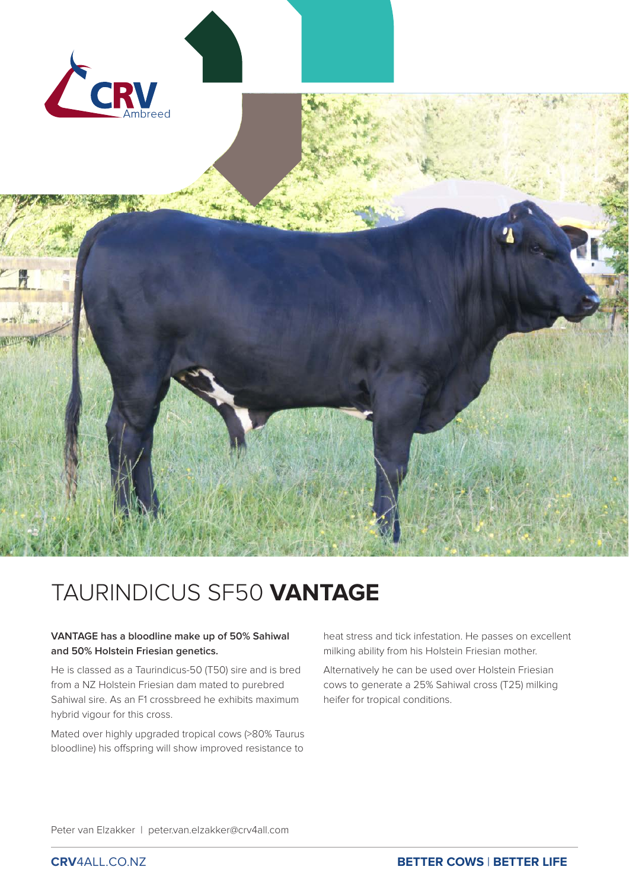

# TAURINDICUS SF50 **VANTAGE**

#### **VANTAGE has a bloodline make up of 50% Sahiwal and 50% Holstein Friesian genetics.**

He is classed as a Taurindicus-50 (T50) sire and is bred from a NZ Holstein Friesian dam mated to purebred Sahiwal sire. As an F1 crossbreed he exhibits maximum hybrid vigour for this cross.

Mated over highly upgraded tropical cows (>80% Taurus bloodline) his offspring will show improved resistance to

heat stress and tick infestation. He passes on excellent milking ability from his Holstein Friesian mother.

Alternatively he can be used over Holstein Friesian cows to generate a 25% Sahiwal cross (T25) milking heifer for tropical conditions.

Peter van Elzakker | peter.van.elzakker@crv4all.com